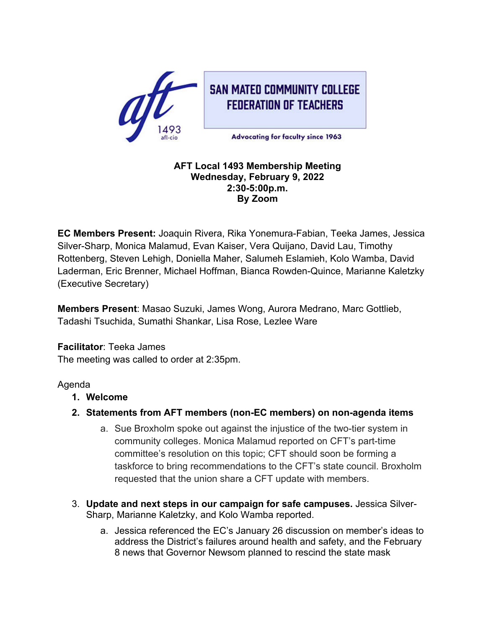

**SAN MATED COMMUNITY COLLEGE FEDERATION OF TEACHERS** 

**Advocating for faculty since 1963** 

#### **AFT Local 1493 Membership Meeting Wednesday, February 9, 2022 2:30-5:00p.m. By Zoom**

**EC Members Present:** Joaquin Rivera, Rika Yonemura-Fabian, Teeka James, Jessica Silver-Sharp, Monica Malamud, Evan Kaiser, Vera Quijano, David Lau, Timothy Rottenberg, Steven Lehigh, Doniella Maher, Salumeh Eslamieh, Kolo Wamba, David Laderman, Eric Brenner, Michael Hoffman, Bianca Rowden-Quince, Marianne Kaletzky (Executive Secretary)

**Members Present**: Masao Suzuki, James Wong, Aurora Medrano, Marc Gottlieb, Tadashi Tsuchida, Sumathi Shankar, Lisa Rose, Lezlee Ware

**Facilitator**: Teeka James The meeting was called to order at 2:35pm.

## Agenda

- **1. Welcome**
- **2. Statements from AFT members (non-EC members) on non-agenda items**
	- a. Sue Broxholm spoke out against the injustice of the two-tier system in community colleges. Monica Malamud reported on CFT's part-time committee's resolution on this topic; CFT should soon be forming a taskforce to bring recommendations to the CFT's state council. Broxholm requested that the union share a CFT update with members.
- 3. **Update and next steps in our campaign for safe campuses.** Jessica Silver-Sharp, Marianne Kaletzky, and Kolo Wamba reported.
	- a. Jessica referenced the EC's January 26 discussion on member's ideas to address the District's failures around health and safety, and the February 8 news that Governor Newsom planned to rescind the state mask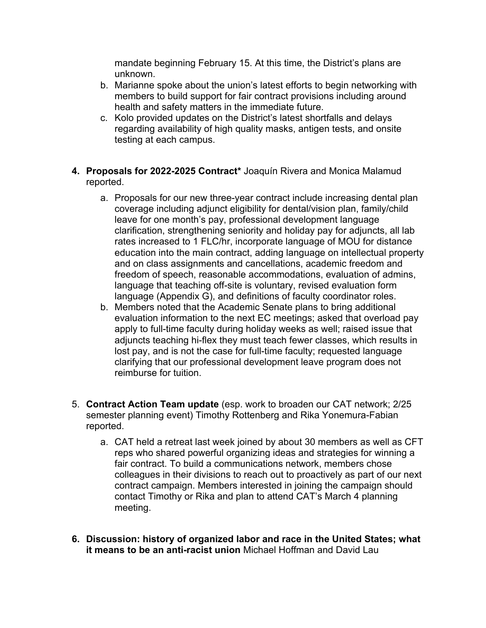mandate beginning February 15. At this time, the District's plans are unknown.

- b. Marianne spoke about the union's latest efforts to begin networking with members to build support for fair contract provisions including around health and safety matters in the immediate future.
- c. Kolo provided updates on the District's latest shortfalls and delays regarding availability of high quality masks, antigen tests, and onsite testing at each campus.
- **4. Proposals for 2022-2025 Contract\*** Joaquín Rivera and Monica Malamud reported.
	- a. Proposals for our new three-year contract include increasing dental plan coverage including adjunct eligibility for dental/vision plan, family/child leave for one month's pay, professional development language clarification, strengthening seniority and holiday pay for adjuncts, all lab rates increased to 1 FLC/hr, incorporate language of MOU for distance education into the main contract, adding language on intellectual property and on class assignments and cancellations, academic freedom and freedom of speech, reasonable accommodations, evaluation of admins, language that teaching off-site is voluntary, revised evaluation form language (Appendix G), and definitions of faculty coordinator roles.
	- b. Members noted that the Academic Senate plans to bring additional evaluation information to the next EC meetings; asked that overload pay apply to full-time faculty during holiday weeks as well; raised issue that adjuncts teaching hi-flex they must teach fewer classes, which results in lost pay, and is not the case for full-time faculty; requested language clarifying that our professional development leave program does not reimburse for tuition.
- 5. **Contract Action Team update** (esp. work to broaden our CAT network; 2/25 semester planning event) Timothy Rottenberg and Rika Yonemura-Fabian reported.
	- a. CAT held a retreat last week joined by about 30 members as well as CFT reps who shared powerful organizing ideas and strategies for winning a fair contract. To build a communications network, members chose colleagues in their divisions to reach out to proactively as part of our next contract campaign. Members interested in joining the campaign should contact Timothy or Rika and plan to attend CAT's March 4 planning meeting.
- **6. Discussion: history of organized labor and race in the United States; what it means to be an anti-racist union** Michael Hoffman and David Lau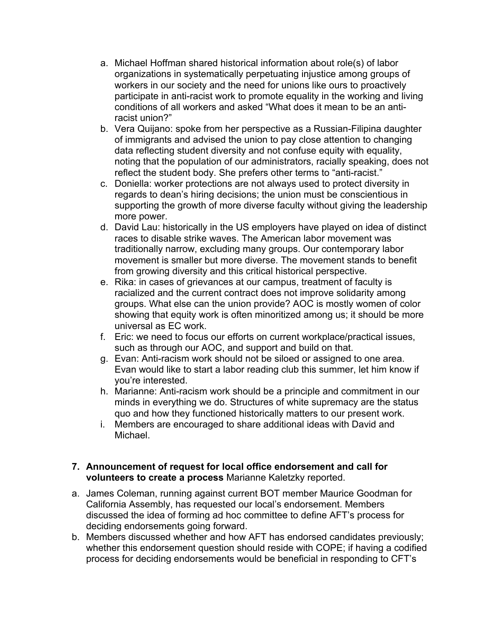- a. Michael Hoffman shared historical information about role(s) of labor organizations in systematically perpetuating injustice among groups of workers in our society and the need for unions like ours to proactively participate in anti-racist work to promote equality in the working and living conditions of all workers and asked "What does it mean to be an antiracist union?"
- b. Vera Quijano: spoke from her perspective as a Russian-Filipina daughter of immigrants and advised the union to pay close attention to changing data reflecting student diversity and not confuse equity with equality, noting that the population of our administrators, racially speaking, does not reflect the student body. She prefers other terms to "anti-racist."
- c. Doniella: worker protections are not always used to protect diversity in regards to dean's hiring decisions; the union must be conscientious in supporting the growth of more diverse faculty without giving the leadership more power.
- d. David Lau: historically in the US employers have played on idea of distinct races to disable strike waves. The American labor movement was traditionally narrow, excluding many groups. Our contemporary labor movement is smaller but more diverse. The movement stands to benefit from growing diversity and this critical historical perspective.
- e. Rika: in cases of grievances at our campus, treatment of faculty is racialized and the current contract does not improve solidarity among groups. What else can the union provide? AOC is mostly women of color showing that equity work is often minoritized among us; it should be more universal as EC work.
- f. Eric: we need to focus our efforts on current workplace/practical issues, such as through our AOC, and support and build on that.
- g. Evan: Anti-racism work should not be siloed or assigned to one area. Evan would like to start a labor reading club this summer, let him know if you're interested.
- h. Marianne: Anti-racism work should be a principle and commitment in our minds in everything we do. Structures of white supremacy are the status quo and how they functioned historically matters to our present work.
- i. Members are encouraged to share additional ideas with David and Michael.

### **7. Announcement of request for local office endorsement and call for volunteers to create a process** Marianne Kaletzky reported.

- a. James Coleman, running against current BOT member Maurice Goodman for California Assembly, has requested our local's endorsement. Members discussed the idea of forming ad hoc committee to define AFT's process for deciding endorsements going forward.
- b. Members discussed whether and how AFT has endorsed candidates previously; whether this endorsement question should reside with COPE; if having a codified process for deciding endorsements would be beneficial in responding to CFT's